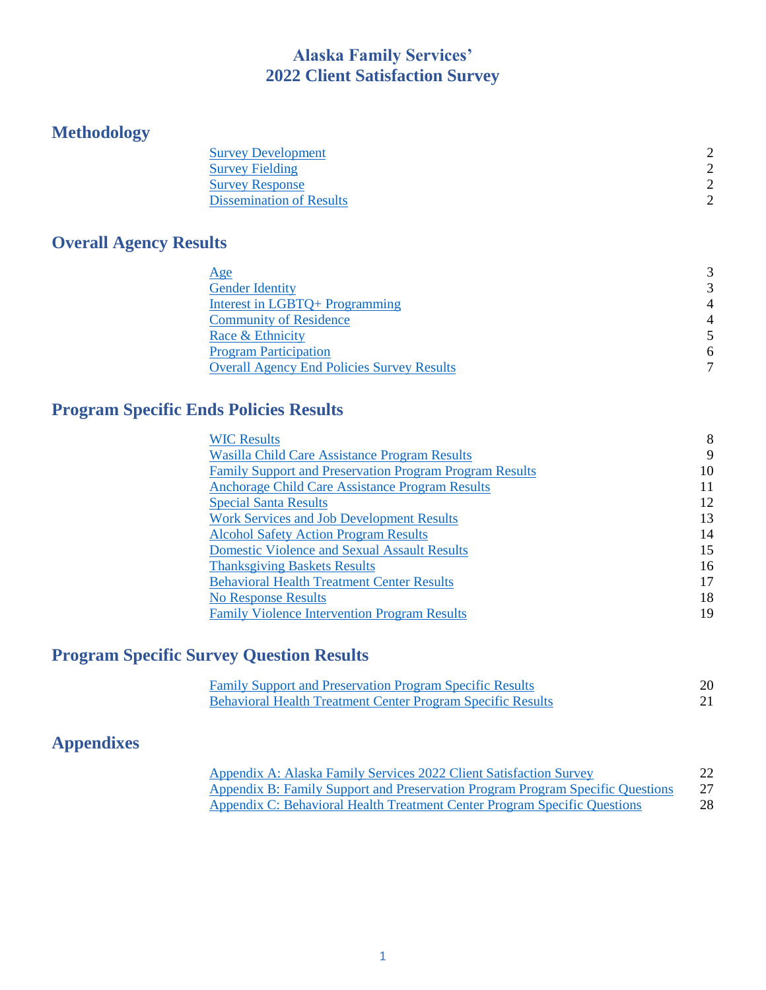# **Alaska Family Services' 2022 Client Satisfaction Survey**

# **Methodology**

| <b>Survey Development</b>       |  |
|---------------------------------|--|
| <b>Survey Fielding</b>          |  |
| <b>Survey Response</b>          |  |
| <b>Dissemination of Results</b> |  |

# **Overall Agency Results**

| Age                                               | 3              |
|---------------------------------------------------|----------------|
| <b>Gender Identity</b>                            | 3              |
| Interest in LGBTQ+ Programming                    | $\overline{4}$ |
| <b>Community of Residence</b>                     | $\overline{4}$ |
| Race & Ethnicity                                  |                |
| <b>Program Participation</b>                      | 6              |
| <b>Overall Agency End Policies Survey Results</b> | 7              |
|                                                   |                |

# **Program Specific Ends Policies Results**

| <b>WIC Results</b>                                             | 8  |
|----------------------------------------------------------------|----|
| Wasilla Child Care Assistance Program Results                  | 9  |
| <b>Family Support and Preservation Program Program Results</b> | 10 |
| Anchorage Child Care Assistance Program Results                | 11 |
| <b>Special Santa Results</b>                                   | 12 |
| <b>Work Services and Job Development Results</b>               | 13 |
| <b>Alcohol Safety Action Program Results</b>                   | 14 |
| <b>Domestic Violence and Sexual Assault Results</b>            | 15 |
| <b>Thanksgiving Baskets Results</b>                            | 16 |
| <b>Behavioral Health Treatment Center Results</b>              | 17 |
| No Response Results                                            | 18 |
| <b>Family Violence Intervention Program Results</b>            | 19 |

# **Program Specific Survey Question Results**

| <b>Family Support and Preservation Program Specific Results</b>    |  |
|--------------------------------------------------------------------|--|
| <b>Behavioral Health Treatment Center Program Specific Results</b> |  |

# **Appendixes**

| Appendix A: Alaska Family Services 2022 Client Satisfaction Survey             | 22 |
|--------------------------------------------------------------------------------|----|
| Appendix B: Family Support and Preservation Program Program Specific Questions | 27 |
| Appendix C: Behavioral Health Treatment Center Program Specific Questions      | 28 |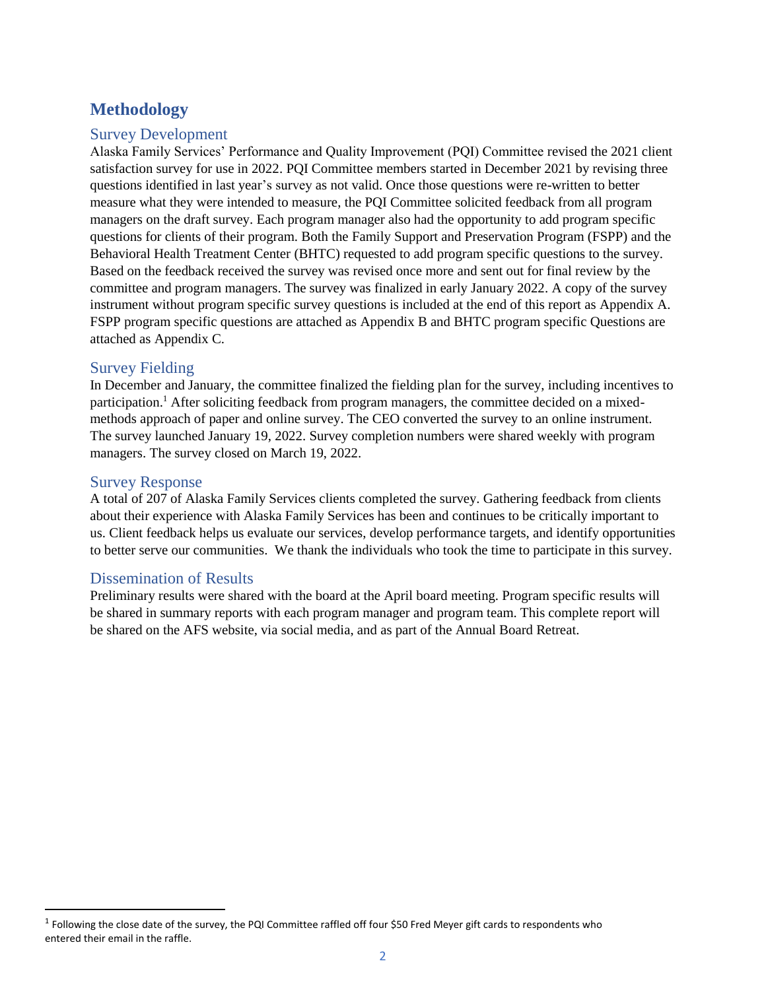# **Methodology**

### <span id="page-1-0"></span>Survey Development

Alaska Family Services' Performance and Quality Improvement (PQI) Committee revised the 2021 client satisfaction survey for use in 2022. PQI Committee members started in December 2021 by revising three questions identified in last year's survey as not valid. Once those questions were re-written to better measure what they were intended to measure, the PQI Committee solicited feedback from all program managers on the draft survey. Each program manager also had the opportunity to add program specific questions for clients of their program. Both the Family Support and Preservation Program (FSPP) and the Behavioral Health Treatment Center (BHTC) requested to add program specific questions to the survey. Based on the feedback received the survey was revised once more and sent out for final review by the committee and program managers. The survey was finalized in early January 2022. A copy of the survey instrument without program specific survey questions is included at the end of this report as Appendix A. FSPP program specific questions are attached as Appendix B and BHTC program specific Questions are attached as Appendix C.

### <span id="page-1-1"></span>Survey Fielding

In December and January, the committee finalized the fielding plan for the survey, including incentives to participation.<sup>1</sup> After soliciting feedback from program managers, the committee decided on a mixedmethods approach of paper and online survey. The CEO converted the survey to an online instrument. The survey launched January 19, 2022. Survey completion numbers were shared weekly with program managers. The survey closed on March 19, 2022.

#### <span id="page-1-2"></span>Survey Response

 $\overline{\phantom{a}}$ 

A total of 207 of Alaska Family Services clients completed the survey. Gathering feedback from clients about their experience with Alaska Family Services has been and continues to be critically important to us. Client feedback helps us evaluate our services, develop performance targets, and identify opportunities to better serve our communities. We thank the individuals who took the time to participate in this survey.

#### <span id="page-1-3"></span>Dissemination of Results

Preliminary results were shared with the board at the April board meeting. Program specific results will be shared in summary reports with each program manager and program team. This complete report will be shared on the AFS website, via social media, and as part of the Annual Board Retreat.

<sup>&</sup>lt;sup>1</sup> Following the close date of the survey, the PQI Committee raffled off four \$50 Fred Meyer gift cards to respondents who entered their email in the raffle.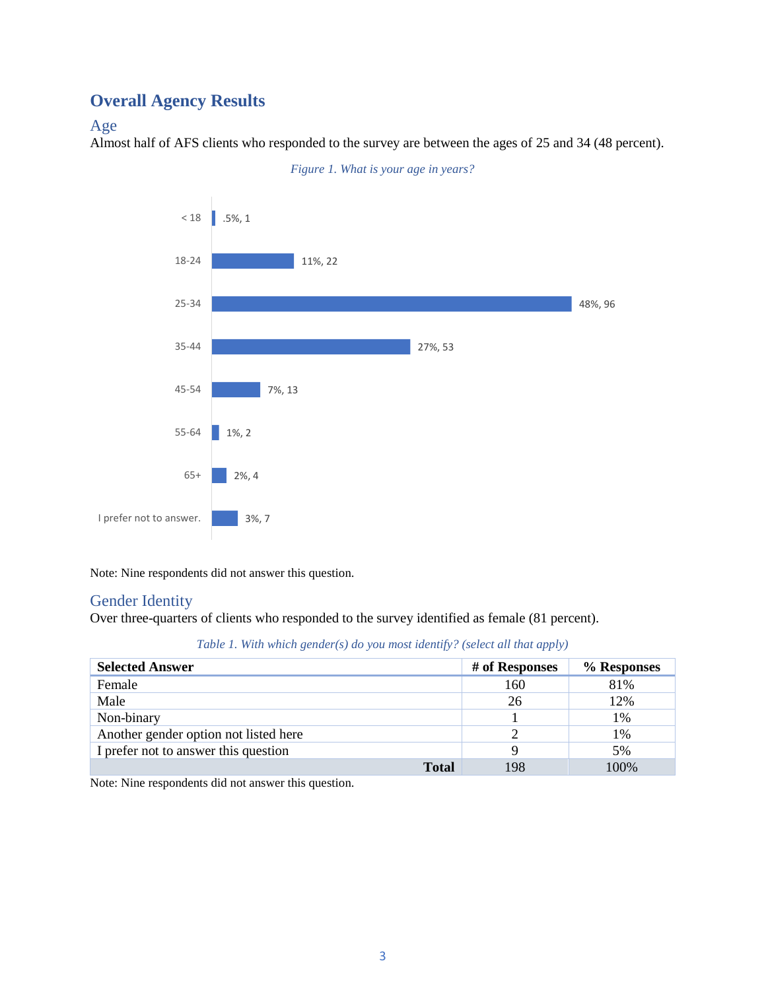# **Overall Agency Results**

#### <span id="page-2-0"></span>Age

Almost half of AFS clients who responded to the survey are between the ages of 25 and 34 (48 percent).





Note: Nine respondents did not answer this question.

#### <span id="page-2-1"></span>Gender Identity

Over three-quarters of clients who responded to the survey identified as female (81 percent).

|  |  |  |  | Table 1. With which gender(s) do you most identify? (select all that apply) |
|--|--|--|--|-----------------------------------------------------------------------------|
|--|--|--|--|-----------------------------------------------------------------------------|

| <b>Selected Answer</b>                | # of Responses | % Responses |
|---------------------------------------|----------------|-------------|
| Female                                | 160            | 81%         |
| Male                                  | 26             | 12%         |
| Non-binary                            |                | 1%          |
| Another gender option not listed here |                | 1%          |
| I prefer not to answer this question  | 9              | 5%          |
| <b>Total</b>                          | 198            | 100%        |

Note: Nine respondents did not answer this question.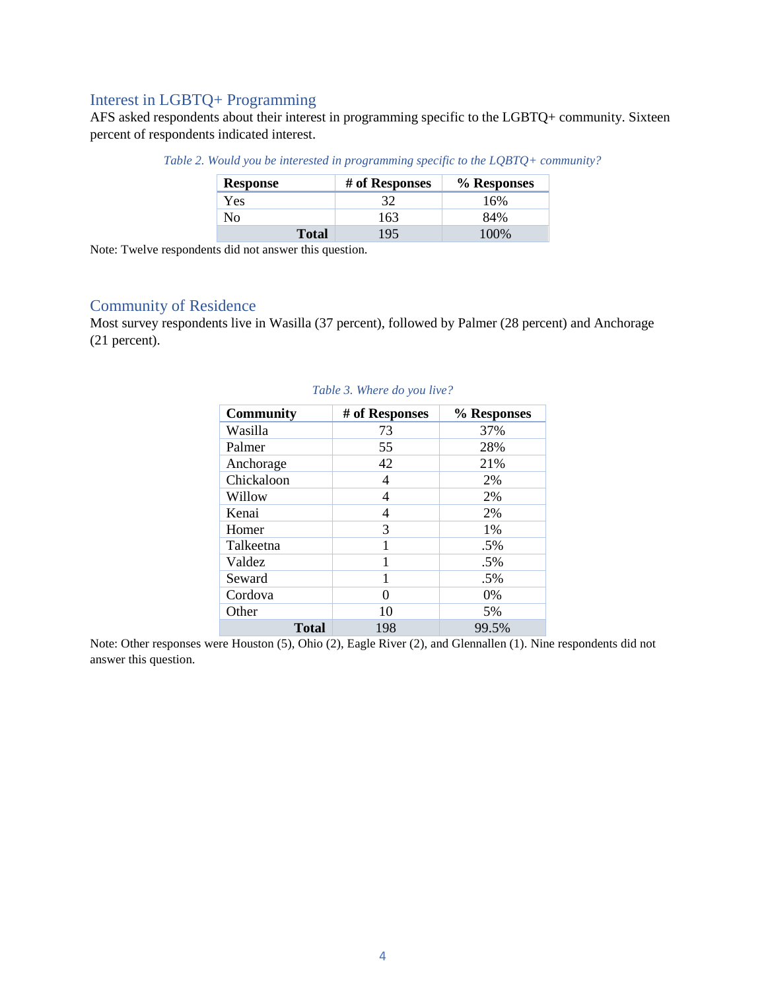### <span id="page-3-0"></span>Interest in LGBTQ+ Programming

AFS asked respondents about their interest in programming specific to the LGBTQ+ community. Sixteen percent of respondents indicated interest.

| <b>Response</b> | # of Responses | % Responses |
|-----------------|----------------|-------------|
| Yes             | 32             | 16%         |
| No              | 163            | 84%         |
| <b>Total</b>    | 195            | 100\%       |

*Table 2. Would you be interested in programming specific to the LQBTQ+ community?*

Note: Twelve respondents did not answer this question.

### <span id="page-3-1"></span>Community of Residence

Most survey respondents live in Wasilla (37 percent), followed by Palmer (28 percent) and Anchorage (21 percent).

| <b>Community</b> | # of Responses | % Responses |
|------------------|----------------|-------------|
| Wasilla          | 73             | 37%         |
| Palmer           | 55             | 28%         |
| Anchorage        | 42             | 21%         |
| Chickaloon       | 4              | 2%          |
| Willow           | 4              | 2%          |
| Kenai            | 4              | 2%          |
| Homer            | 3              | 1%          |
| Talkeetna        | 1              | .5%         |
| Valdez           | 1              | .5%         |
| Seward           | 1              | .5%         |
| Cordova          | 0              | $0\%$       |
| Other            | 10             | 5%          |
| <b>Total</b>     | 198            | 99.5%       |

#### *Table 3. Where do you live?*

Note: Other responses were Houston (5), Ohio (2), Eagle River (2), and Glennallen (1). Nine respondents did not answer this question.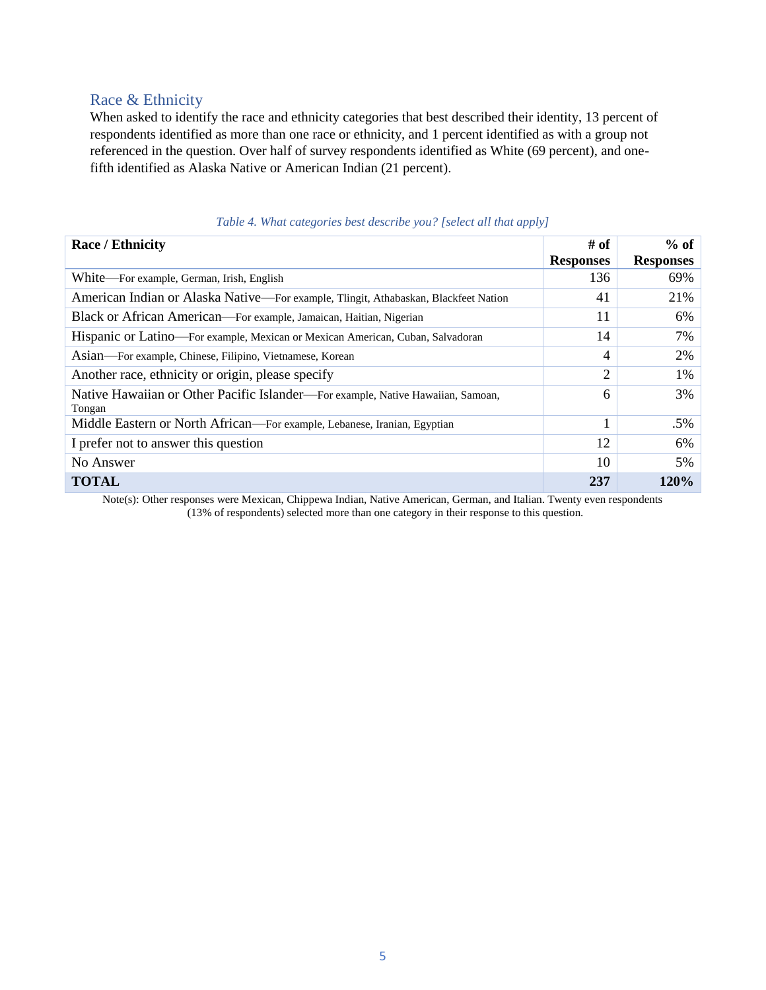## <span id="page-4-0"></span>Race & Ethnicity

When asked to identify the race and ethnicity categories that best described their identity, 13 percent of respondents identified as more than one race or ethnicity, and 1 percent identified as with a group not referenced in the question. Over half of survey respondents identified as White (69 percent), and onefifth identified as Alaska Native or American Indian (21 percent).

| <b>Race / Ethnicity</b>                                                                   | # of             | $%$ of           |
|-------------------------------------------------------------------------------------------|------------------|------------------|
|                                                                                           | <b>Responses</b> | <b>Responses</b> |
| White—For example, German, Irish, English                                                 | 136              | 69%              |
| American Indian or Alaska Native—For example, Tlingit, Athabaskan, Blackfeet Nation       | 41               | 21%              |
| Black or African American—For example, Jamaican, Haitian, Nigerian                        | 11               | 6%               |
| Hispanic or Latino—For example, Mexican or Mexican American, Cuban, Salvadoran            | 14               | 7%               |
| Asian—For example, Chinese, Filipino, Vietnamese, Korean                                  | 4                | 2%               |
| Another race, ethnicity or origin, please specify                                         | 2                | 1%               |
| Native Hawaiian or Other Pacific Islander—For example, Native Hawaiian, Samoan,<br>Tongan | 6                | 3%               |
| Middle Eastern or North African—For example, Lebanese, Iranian, Egyptian                  |                  | .5%              |
| I prefer not to answer this question                                                      | 12               | 6%               |
| No Answer                                                                                 | 10               | 5%               |
| <b>TOTAL</b>                                                                              | 237              | 120%             |

#### *Table 4. What categories best describe you? [select all that apply]*

Note(s): Other responses were Mexican, Chippewa Indian, Native American, German, and Italian. Twenty even respondents (13% of respondents) selected more than one category in their response to this question.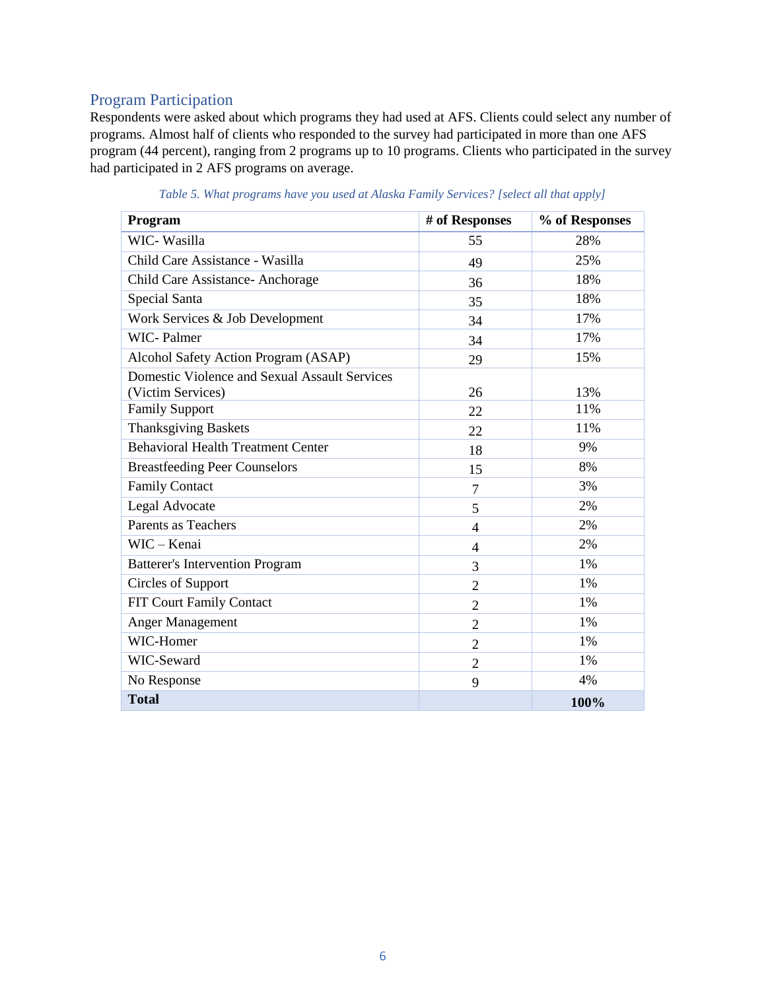### <span id="page-5-0"></span>Program Participation

Respondents were asked about which programs they had used at AFS. Clients could select any number of programs. Almost half of clients who responded to the survey had participated in more than one AFS program (44 percent), ranging from 2 programs up to 10 programs. Clients who participated in the survey had participated in 2 AFS programs on average.

| Program                                       | # of Responses | % of Responses |
|-----------------------------------------------|----------------|----------------|
| WIC-Wasilla                                   | 55             | 28%            |
| Child Care Assistance - Wasilla               | 49             | 25%            |
| Child Care Assistance-Anchorage               | 36             | 18%            |
| Special Santa                                 | 35             | 18%            |
| Work Services & Job Development               | 34             | 17%            |
| WIC-Palmer                                    | 34             | 17%            |
| Alcohol Safety Action Program (ASAP)          | 29             | 15%            |
| Domestic Violence and Sexual Assault Services |                |                |
| (Victim Services)                             | 26             | 13%            |
| <b>Family Support</b>                         | 22             | 11%            |
| <b>Thanksgiving Baskets</b>                   | 22             | 11%            |
| <b>Behavioral Health Treatment Center</b>     | 18             | 9%             |
| <b>Breastfeeding Peer Counselors</b>          | 15             | 8%             |
| <b>Family Contact</b>                         | $\overline{7}$ | 3%             |
| Legal Advocate                                | 5              | 2%             |
| Parents as Teachers                           | $\overline{4}$ | 2%             |
| WIC - Kenai                                   | $\overline{4}$ | 2%             |
| <b>Batterer's Intervention Program</b>        | 3              | 1%             |
| Circles of Support                            | $\overline{2}$ | 1%             |
| FIT Court Family Contact                      | $\overline{2}$ | 1%             |
| <b>Anger Management</b>                       | $\overline{2}$ | 1%             |
| WIC-Homer                                     | $\overline{2}$ | 1%             |
| WIC-Seward                                    | $\overline{2}$ | 1%             |
| No Response                                   | 9              | 4%             |
| <b>Total</b>                                  |                | 100%           |

*Table 5. What programs have you used at Alaska Family Services? [select all that apply]*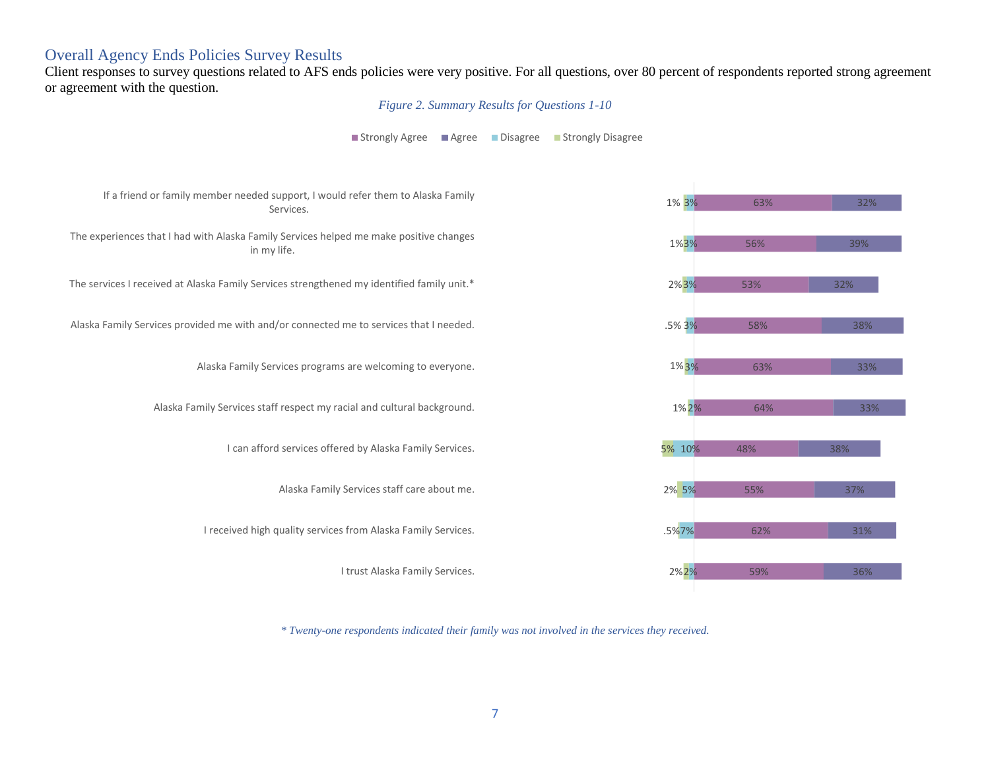#### Overall Agency Ends Policies Survey Results

Client responses to survey questions related to AFS ends policies were very positive. For all questions, over 80 percent of respondents reported strong agreement or agreement with the question.

*Figure 2. Summary Results for Questions 1-10*

Strongly Agree Agree Disagree Strongly Disagree

<span id="page-6-0"></span>

*\* Twenty-one respondents indicated their family was not involved in the services they received.*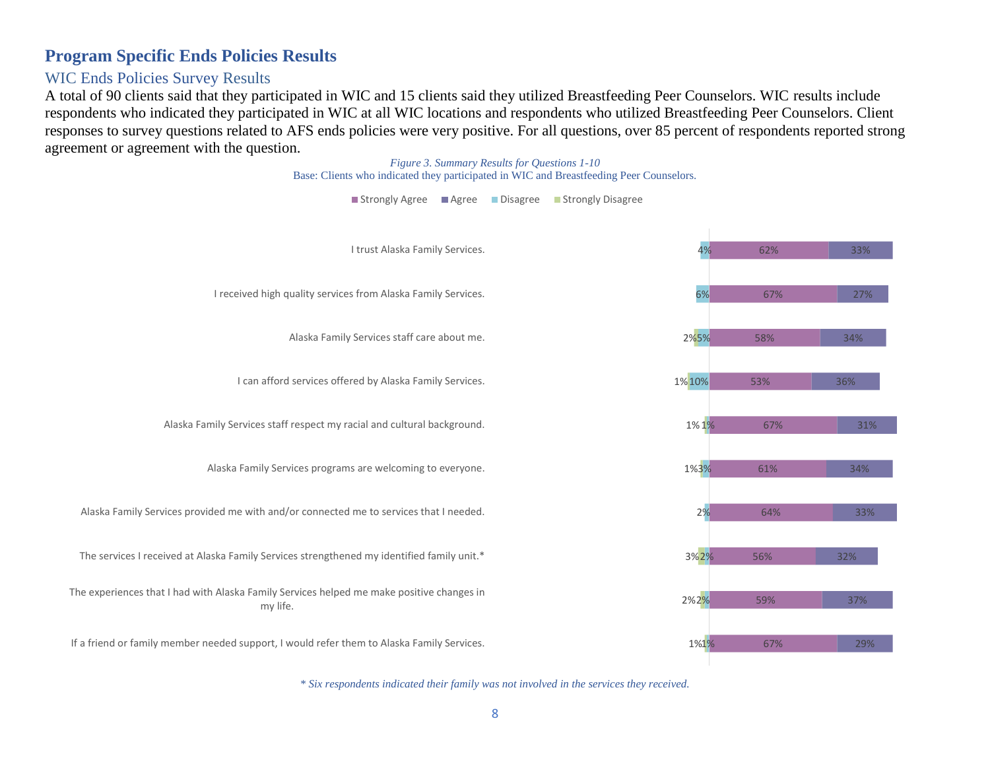# **Program Specific Ends Policies Results**

# WIC Ends Policies Survey Results

A total of 90 clients said that they participated in WIC and 15 clients said they utilized Breastfeeding Peer Counselors. WIC results include respondents who indicated they participated in WIC at all WIC locations and respondents who utilized Breastfeeding Peer Counselors. Client responses to survey questions related to AFS ends policies were very positive. For all questions, over 85 percent of respondents reported strong agreement or agreement with the question. *Figure 3. Summary Results for Questions 1-10*

<span id="page-7-0"></span>

*\* Six respondents indicated their family was not involved in the services they received.*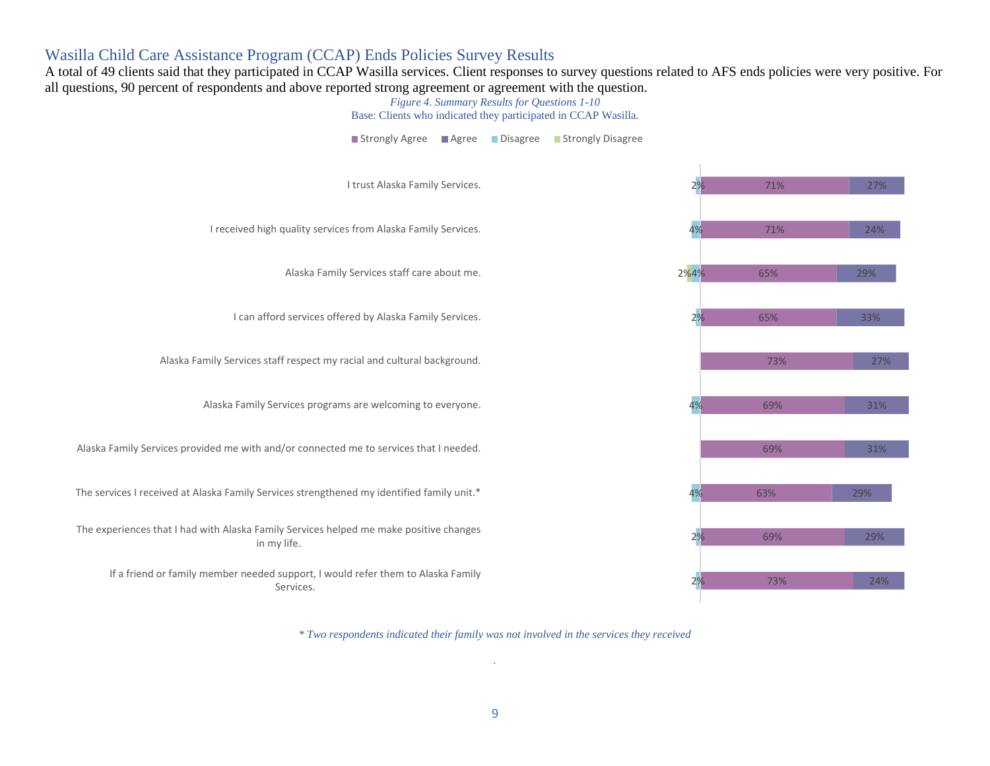### Wasilla Child Care Assistance Program (CCAP) Ends Policies Survey Results

A total of 49 clients said that they participated in CCAP Wasilla services. Client responses to survey questions related to AFS ends policies were very positive. For all questions, 90 percent of respondents and above reported strong agreement or agreement with the question.

#### *Figure 4. Summary Results for Questions 1-10* Base: Clients who indicated they participated in CCAP Wasilla.

<span id="page-8-0"></span>

*\* Two respondents indicated their family was not involved in the services they received*

*.*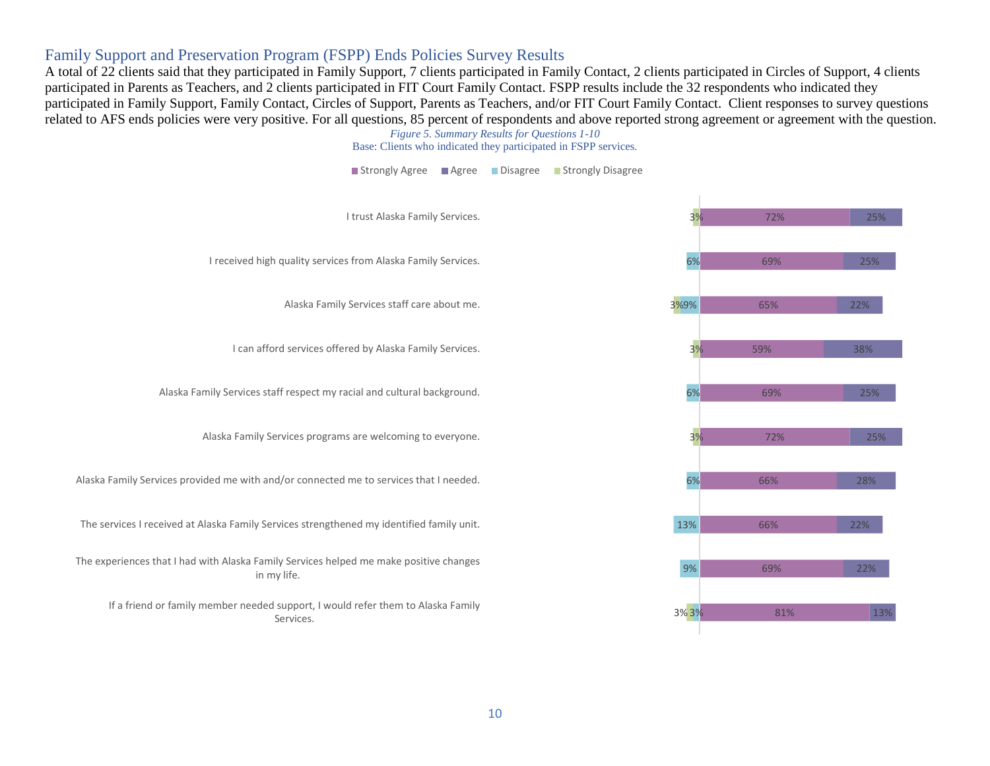#### Family Support and Preservation Program (FSPP) Ends Policies Survey Results

A total of 22 clients said that they participated in Family Support, 7 clients participated in Family Contact, 2 clients participated in Circles of Support, 4 clients participated in Parents as Teachers, and 2 clients participated in FIT Court Family Contact. FSPP results include the 32 respondents who indicated they participated in Family Support, Family Contact, Circles of Support, Parents as Teachers, and/or FIT Court Family Contact. Client responses to survey questions related to AFS ends policies were very positive. For all questions, 85 percent of respondents and above reported strong agreement or agreement with the question.

*Figure 5. Summary Results for Questions 1-10*  Base: Clients who indicated they participated in FSPP services.

■ Strongly Agree ■ Agree ■ Disagree ■ Strongly Disagree

<span id="page-9-0"></span>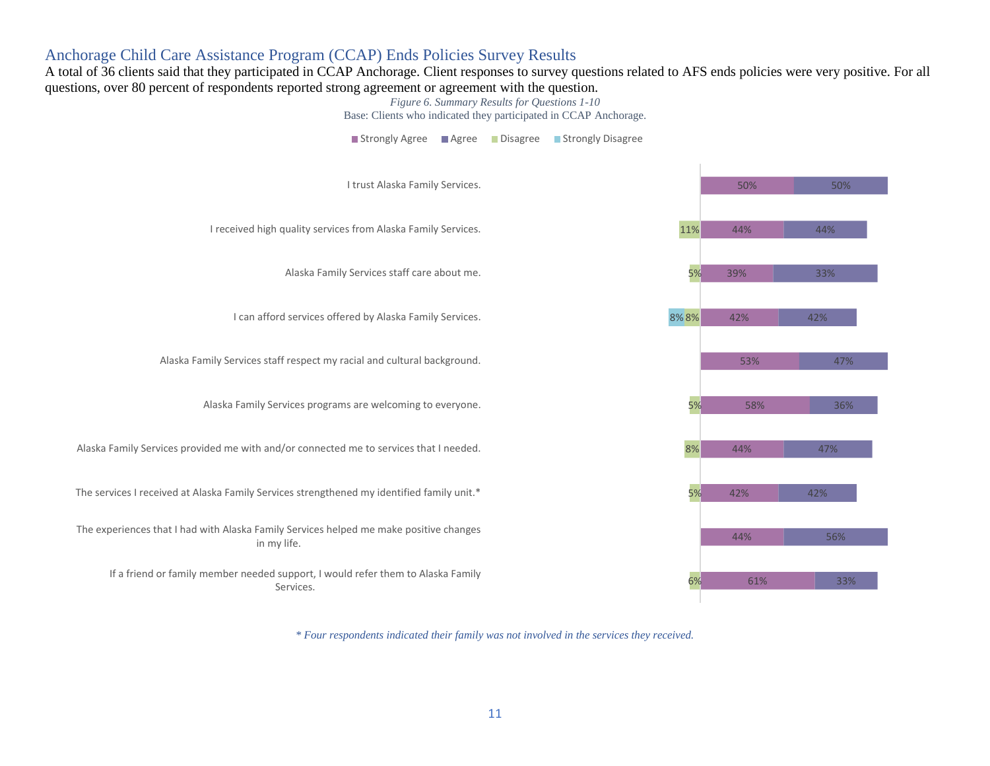### Anchorage Child Care Assistance Program (CCAP) Ends Policies Survey Results

A total of 36 clients said that they participated in CCAP Anchorage. Client responses to survey questions related to AFS ends policies were very positive. For all questions, over 80 percent of respondents reported strong agreement or agreement with the question.

> *Figure 6. Summary Results for Questions 1-10* Base: Clients who indicated they participated in CCAP Anchorage.

<span id="page-10-0"></span>

*\* Four respondents indicated their family was not involved in the services they received.*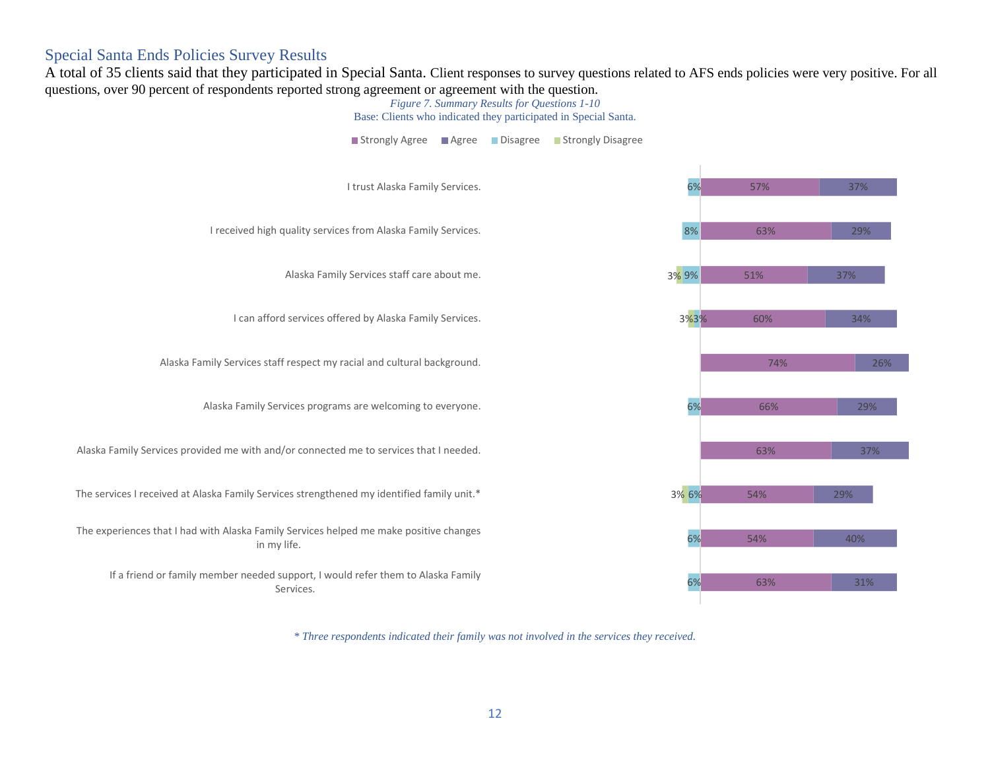#### Special Santa Ends Policies Survey Results

A total of 35 clients said that they participated in Special Santa. Client responses to survey questions related to AFS ends policies were very positive. For all questions, over 90 percent of respondents reported strong agreement or agreement with the question.

#### *Figure 7. Summary Results for Questions 1-10* Base: Clients who indicated they participated in Special Santa.

<span id="page-11-0"></span>

*\* Three respondents indicated their family was not involved in the services they received.*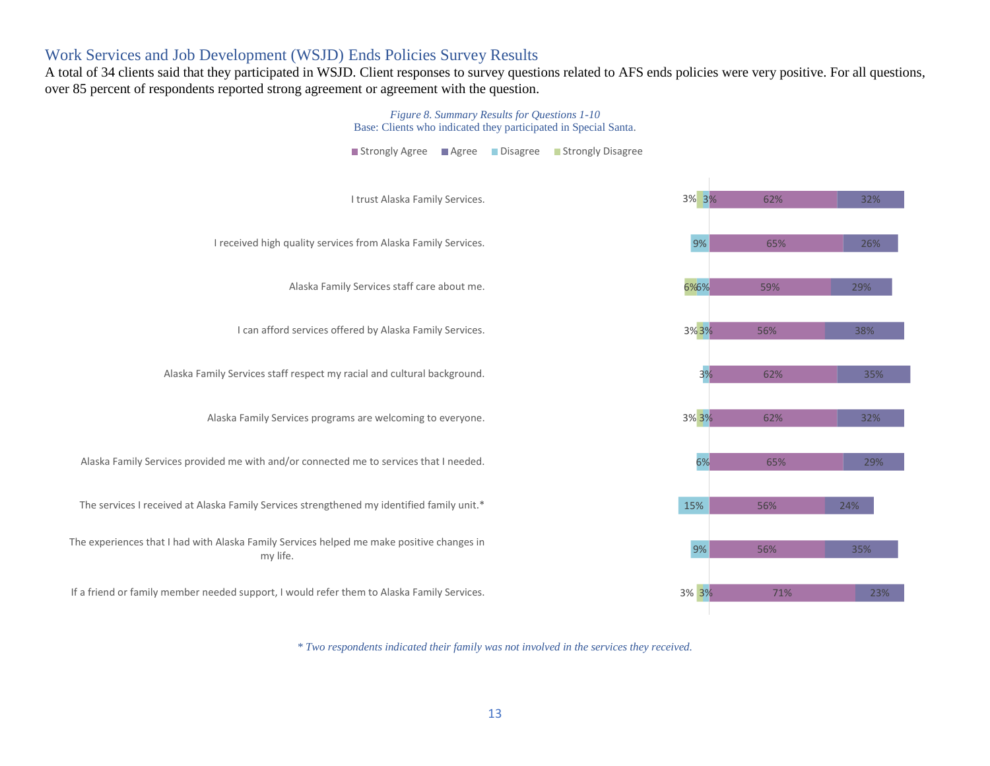## Work Services and Job Development (WSJD) Ends Policies Survey Results

A total of 34 clients said that they participated in WSJD. Client responses to survey questions related to AFS ends policies were very positive. For all questions, over 85 percent of respondents reported strong agreement or agreement with the question.

<span id="page-12-0"></span>

*\* Two respondents indicated their family was not involved in the services they received.*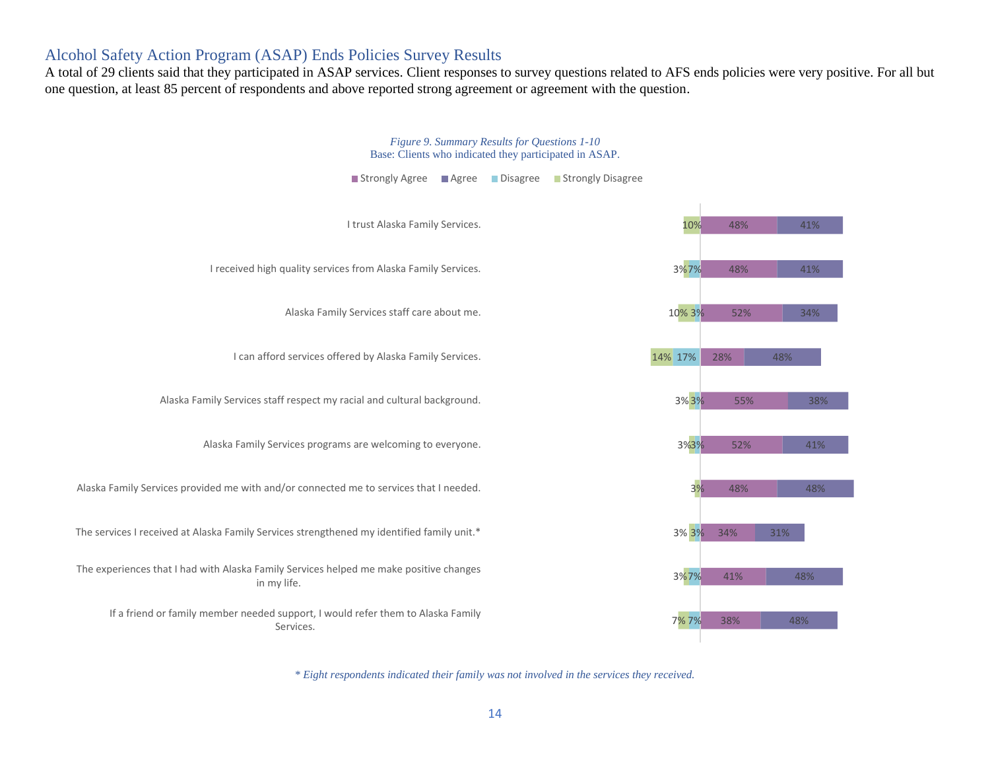#### Alcohol Safety Action Program (ASAP) Ends Policies Survey Results

A total of 29 clients said that they participated in ASAP services. Client responses to survey questions related to AFS ends policies were very positive. For all but one question, at least 85 percent of respondents and above reported strong agreement or agreement with the question.

<span id="page-13-0"></span>

*\* Eight respondents indicated their family was not involved in the services they received.*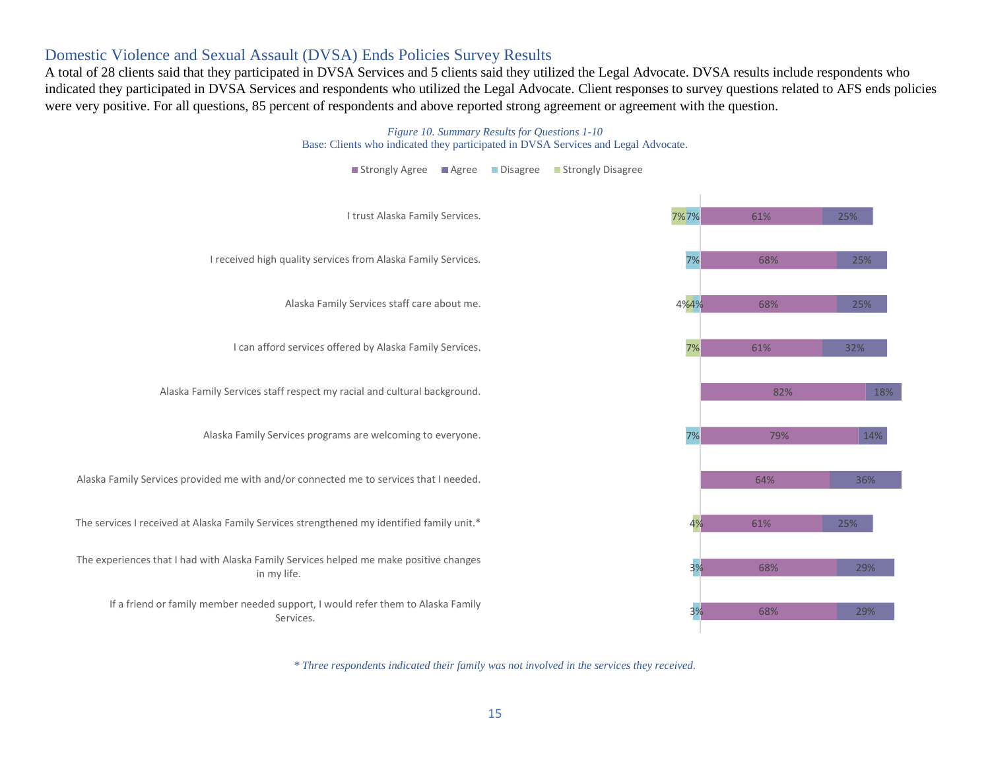#### Domestic Violence and Sexual Assault (DVSA) Ends Policies Survey Results

A total of 28 clients said that they participated in DVSA Services and 5 clients said they utilized the Legal Advocate. DVSA results include respondents who indicated they participated in DVSA Services and respondents who utilized the Legal Advocate. Client responses to survey questions related to AFS ends policies were very positive. For all questions, 85 percent of respondents and above reported strong agreement or agreement with the question.

#### *Figure 10. Summary Results for Questions 1-10*  Base: Clients who indicated they participated in DVSA Services and Legal Advocate.

■ Strongly Agree ■ Agree ■ Disagree ■ Strongly Disagree

<span id="page-14-0"></span>

*\* Three respondents indicated their family was not involved in the services they received.*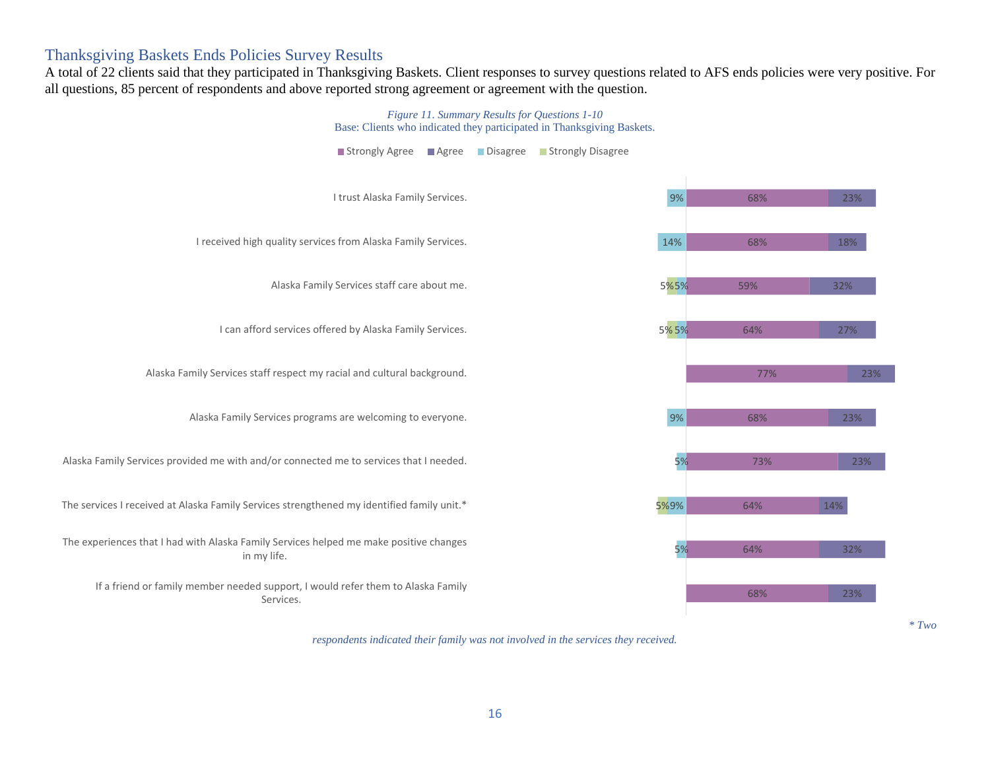## Thanksgiving Baskets Ends Policies Survey Results

A total of 22 clients said that they participated in Thanksgiving Baskets. Client responses to survey questions related to AFS ends policies were very positive. For all questions, 85 percent of respondents and above reported strong agreement or agreement with the question.

<span id="page-15-0"></span>

*respondents indicated their family was not involved in the services they received.*

*\* Two*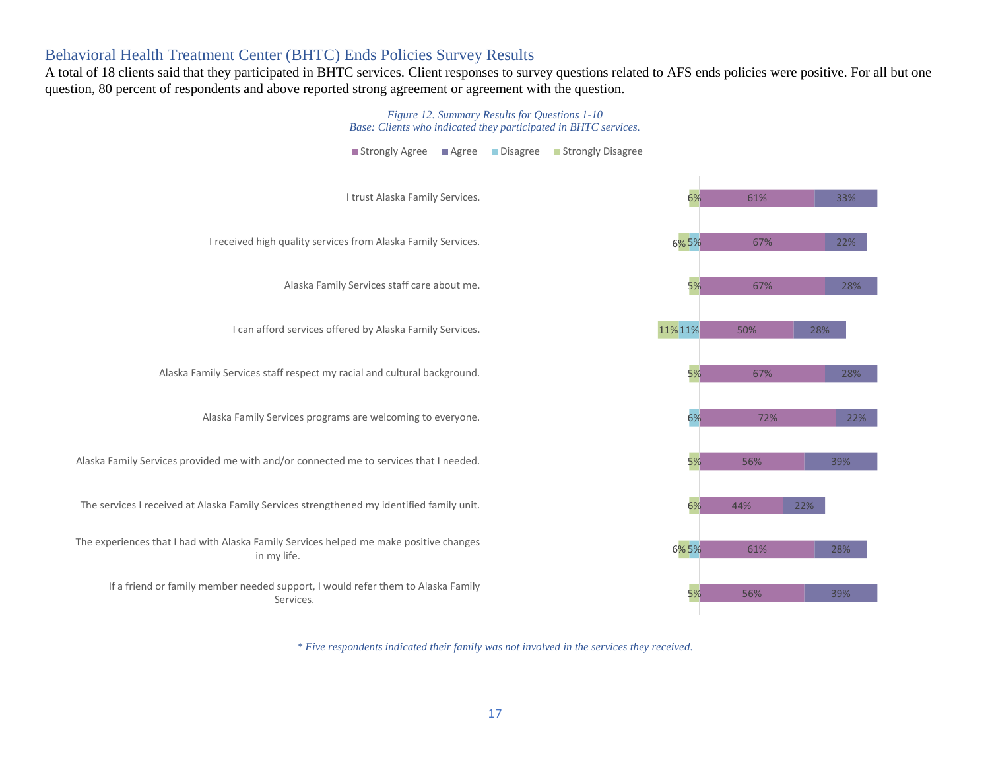### Behavioral Health Treatment Center (BHTC) Ends Policies Survey Results

A total of 18 clients said that they participated in BHTC services. Client responses to survey questions related to AFS ends policies were positive. For all but one question, 80 percent of respondents and above reported strong agreement or agreement with the question.

<span id="page-16-0"></span>

*\* Five respondents indicated their family was not involved in the services they received.*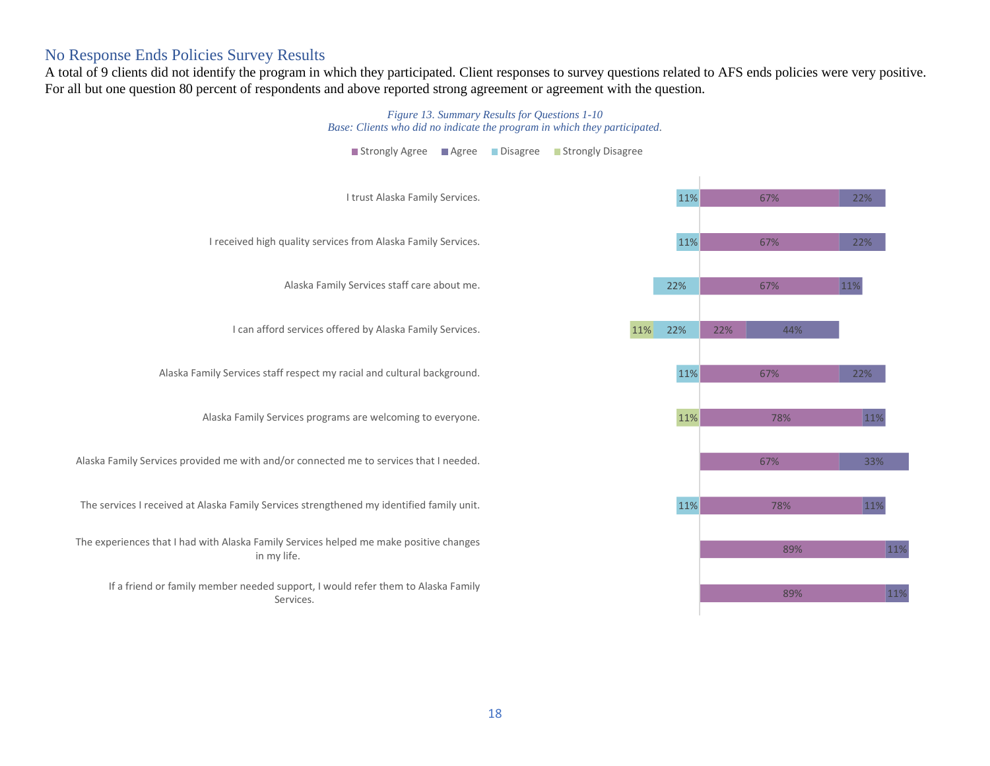### No Response Ends Policies Survey Results

A total of 9 clients did not identify the program in which they participated. Client responses to survey questions related to AFS ends policies were very positive. For all but one question 80 percent of respondents and above reported strong agreement or agreement with the question.

<span id="page-17-0"></span>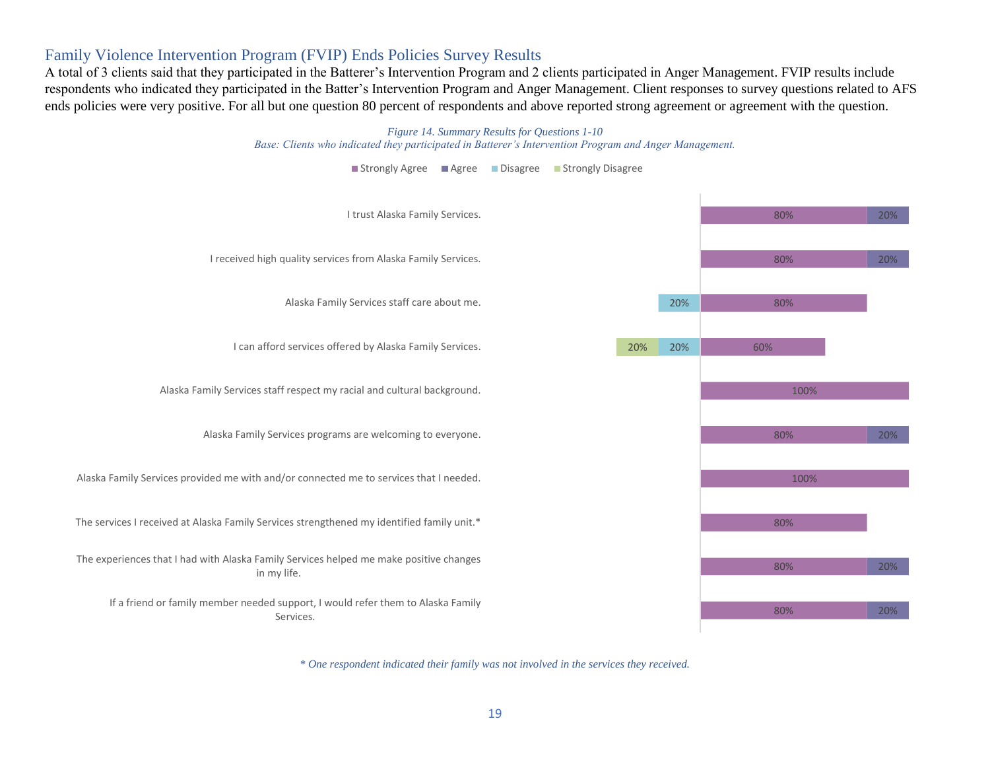#### Family Violence Intervention Program (FVIP) Ends Policies Survey Results

A total of 3 clients said that they participated in the Batterer's Intervention Program and 2 clients participated in Anger Management. FVIP results include respondents who indicated they participated in the Batter's Intervention Program and Anger Management. Client responses to survey questions related to AFS ends policies were very positive. For all but one question 80 percent of respondents and above reported strong agreement or agreement with the question.

<span id="page-18-0"></span>![](_page_18_Figure_2.jpeg)

*\* One respondent indicated their family was not involved in the services they received.*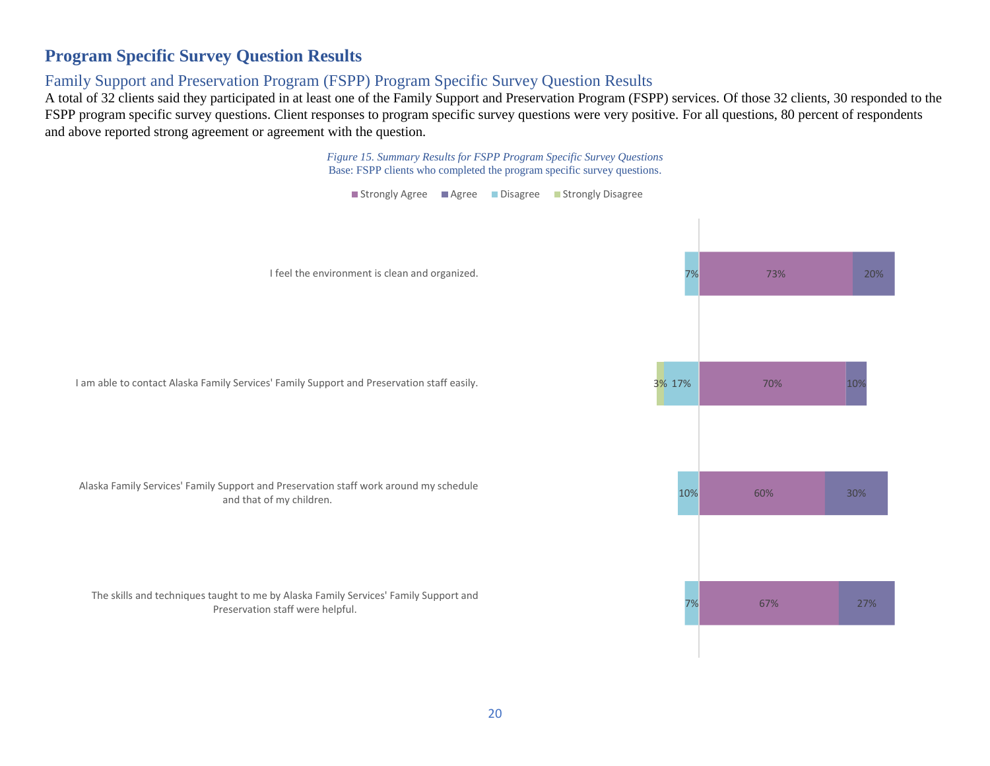## **Program Specific Survey Question Results**

# Family Support and Preservation Program (FSPP) Program Specific Survey Question Results

A total of 32 clients said they participated in at least one of the Family Support and Preservation Program (FSPP) services. Of those 32 clients, 30 responded to the FSPP program specific survey questions. Client responses to program specific survey questions were very positive. For all questions, 80 percent of respondents and above reported strong agreement or agreement with the question.

> *Figure 15. Summary Results for FSPP Program Specific Survey Questions*  Base: FSPP clients who completed the program specific survey questions.

Strongly Agree Agree Disagree Strongly Disagree

<span id="page-19-0"></span>![](_page_19_Figure_5.jpeg)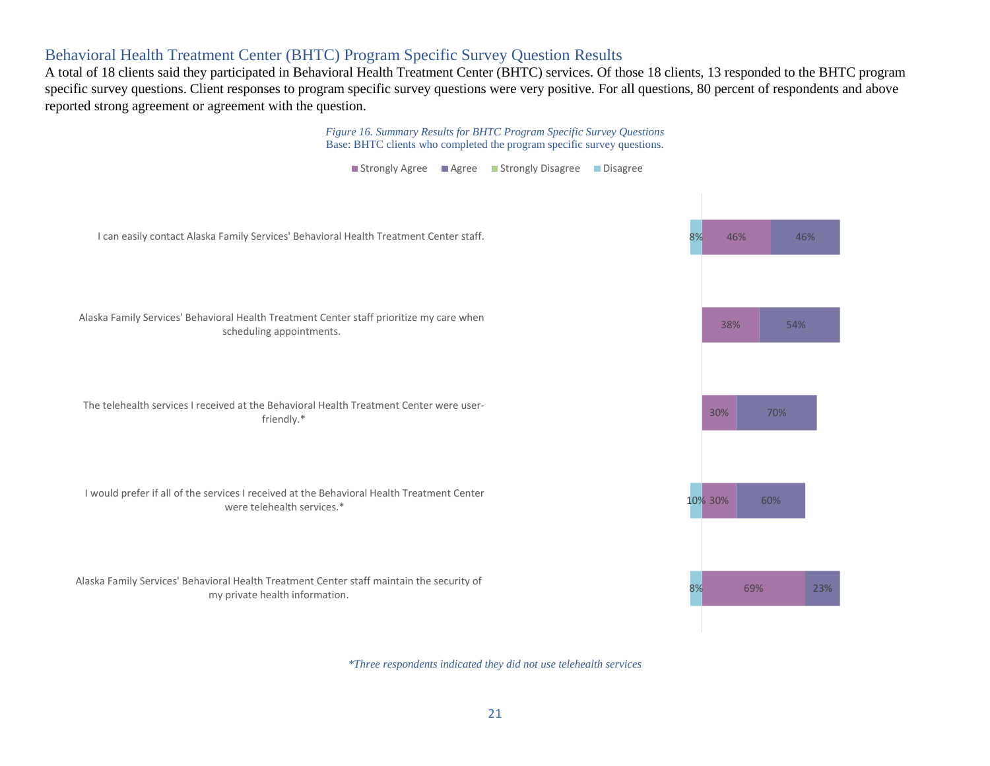## Behavioral Health Treatment Center (BHTC) Program Specific Survey Question Results

A total of 18 clients said they participated in Behavioral Health Treatment Center (BHTC) services. Of those 18 clients, 13 responded to the BHTC program specific survey questions. Client responses to program specific survey questions were very positive. For all questions, 80 percent of respondents and above reported strong agreement or agreement with the question.

<span id="page-20-0"></span>![](_page_20_Figure_2.jpeg)

*\*Three respondents indicated they did not use telehealth services*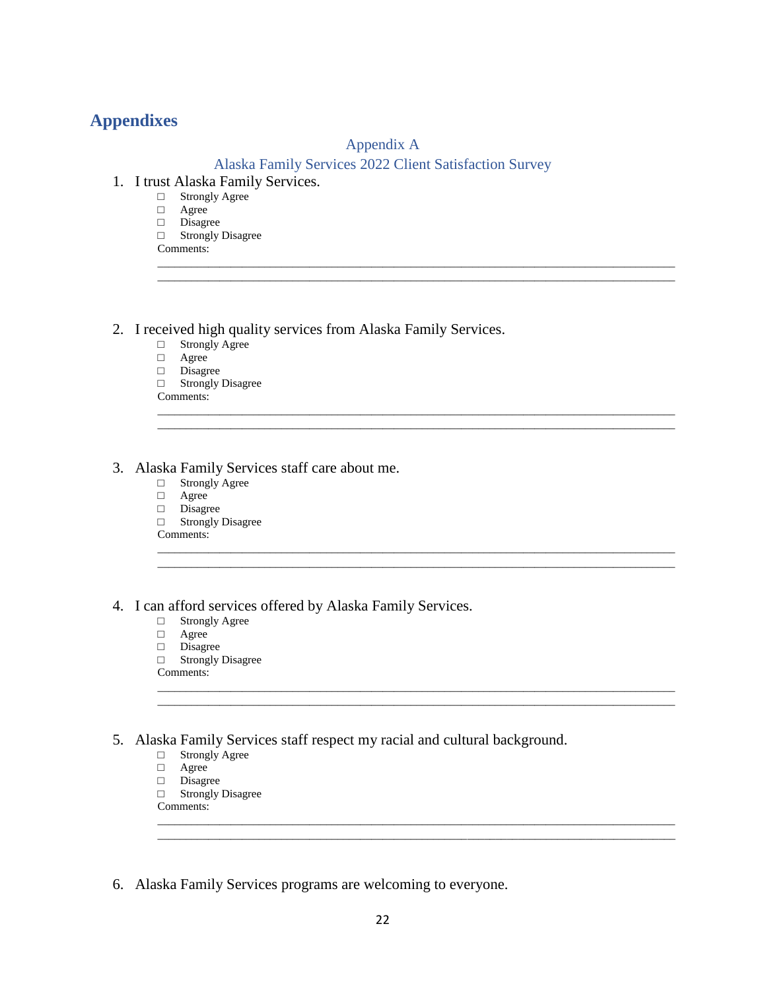# <span id="page-21-0"></span>**Appendixes**

#### Appendix A

#### Alaska Family Services 2022 Client Satisfaction Survey

 $\Box$  $\Box$ 

 $\overline{\phantom{a}}$  , and the contribution of the contribution of the contribution of the contribution of the contribution of the contribution of the contribution of the contribution of the contribution of the contribution of the

 $\Box$  $\Box$ 

 $\Box$ 

 $\overline{\phantom{a}}$  , and the contribution of the contribution of the contribution of the contribution of the contribution of the contribution of the contribution of the contribution of the contribution of the contribution of the  $\overline{\phantom{a}}$  , and the contribution of the contribution of the contribution of the contribution of the contribution of the contribution of the contribution of the contribution of the contribution of the contribution of the

- 1. I trust Alaska Family Services.
	- □ Strongly Agree
		- □ Agree
	- □ Disagree
	- □ Strongly Disagree
	- Comments:
- 2. I received high quality services from Alaska Family Services.
	- □ Strongly Agree
	- □ Agree
	- □ Disagree
	- □ Strongly Disagree
	- Comments:  $\overline{\phantom{a}}$  , and the contribution of the contribution of the contribution of the contribution of the contribution of the contribution of the contribution of the contribution of the contribution of the contribution of the

#### 3. Alaska Family Services staff care about me.

- □ Strongly Agree
- □ Agree
- □ Disagree
- □ Strongly Disagree
- Comments:
- 4. I can afford services offered by Alaska Family Services.
	- □ Strongly Agree
	- □ Agree
	- □ Disagree
	- □ Strongly Disagree
	- Comments:  $\Box$

5. Alaska Family Services staff respect my racial and cultural background.

- □ Strongly Agree
- □ Agree
- □ Disagree
- □ Strongly Disagree
- Comments:
- 6. Alaska Family Services programs are welcoming to everyone.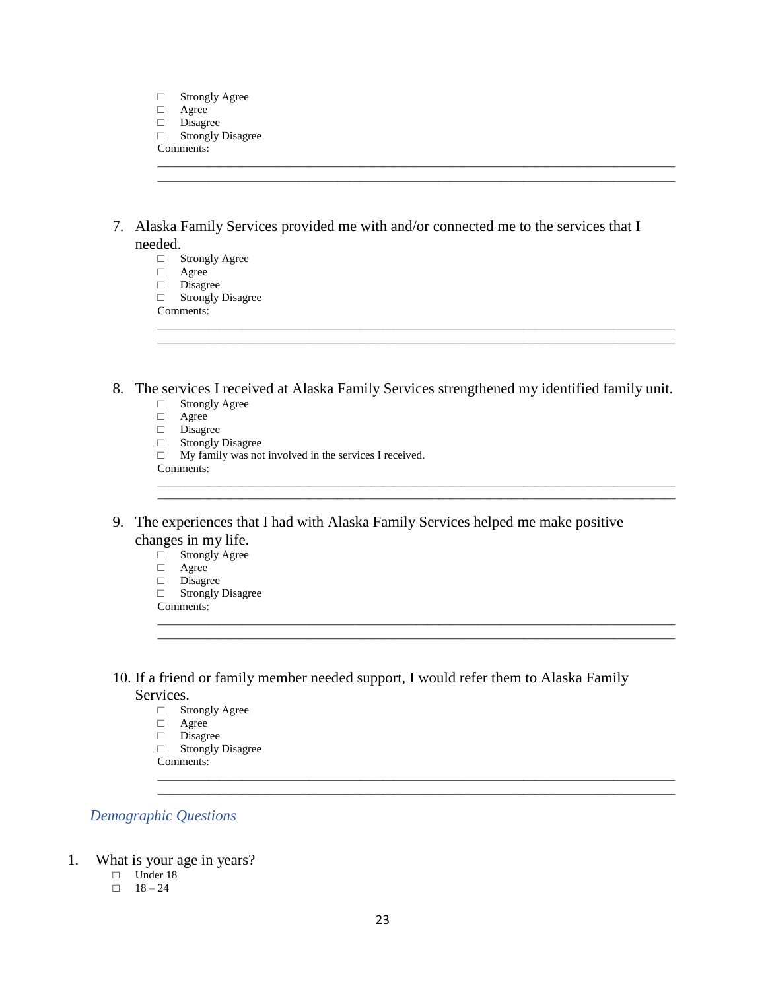| $\mathsf{L}$ | <b>Strongly Agree</b>    |
|--------------|--------------------------|
| п            | Agree                    |
| п            | Disagree                 |
| H            | <b>Strongly Disagree</b> |
|              | Comments:                |

7. Alaska Family Services provided me with and/or connected me to the services that I needed.

 $\Box$  $\Box$ 

- □ Strongly Agree
- □ Agree
- □ Disagree
- □ Strongly Disagree
- Comments:  $\Box$
- 8. The services I received at Alaska Family Services strengthened my identified family unit.

 $\Box$ 

 $\Box$  $\Box$ 

 $\overline{\phantom{a}}$  , and the contribution of the contribution of the contribution of the contribution of the contribution of the contribution of the contribution of the contribution of the contribution of the contribution of the  $\overline{\phantom{a}}$  , and the contribution of the contribution of the contribution of the contribution of the contribution of the contribution of the contribution of the contribution of the contribution of the contribution of the

 $\Box$  $\Box$ 

- □ Strongly Agree
- □ Agree
- □ Disagree
- □ Strongly Disagree
- □ My family was not involved in the services I received. Comments:
- 9. The experiences that I had with Alaska Family Services helped me make positive changes in my life.
	- □ Strongly Agree
	- □ Agree
	- □ Disagree
	- □ Strongly Disagree
	- Comments:
- 10. If a friend or family member needed support, I would refer them to Alaska Family Services.
	- □ Strongly Agree
	- □ Agree
	- □ Disagree
	- □ Strongly Disagree
	- Comments:

#### *Demographic Questions*

- 1. What is your age in years?
	- □ Under 18
	- $\Box$  18 24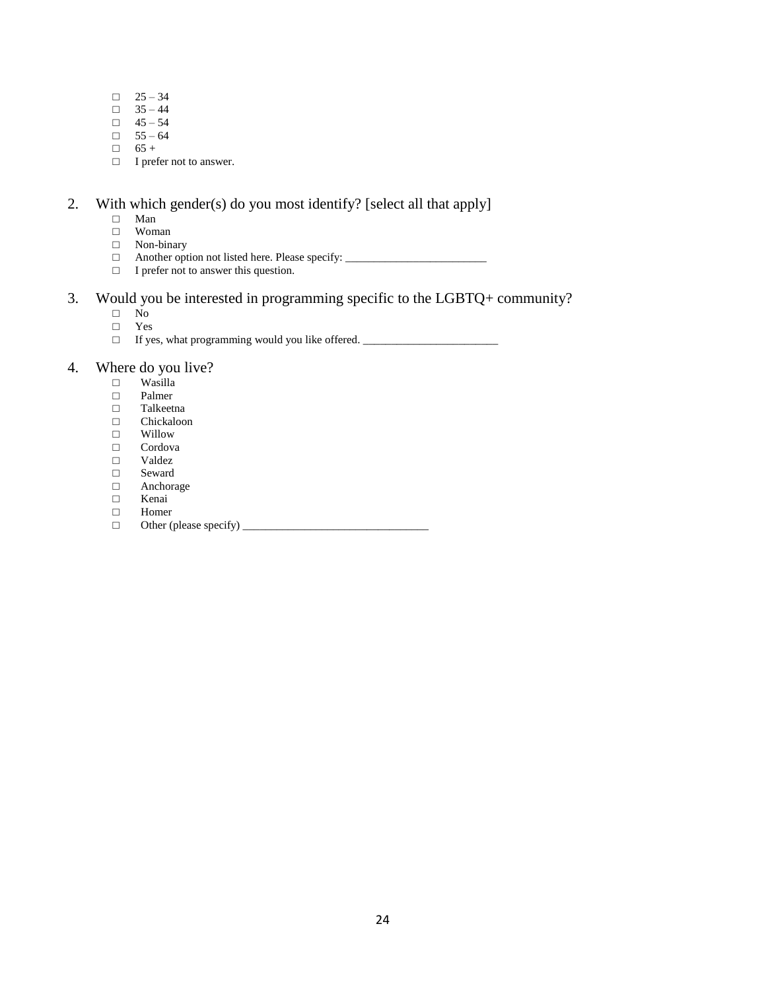- $\Box$  25 34
- $\Box$  35 44
- $\Box$  45 54
- $\Box$  55 64
- $\Box$  65 + □ I prefer not to answer.

### 2. With which gender(s) do you most identify? [select all that apply]

- □ Man
- □ Woman
- □ Non-binary
- □ Another option not listed here. Please specify: \_\_\_\_\_\_\_\_\_\_\_\_\_\_\_\_\_\_\_\_\_\_\_\_\_\_\_\_\_\_
- □ I prefer not to answer this question.

### 3. Would you be interested in programming specific to the LGBTQ+ community?

- □ No
- □ Yes
- $\Box$  If yes, what programming would you like offered.  $\Box$

#### 4. Where do you live?

- □ Wasilla
- □ Palmer
- □ Talkeetna
- □ Chickaloon
- □ Willow
- $\square \qquad \mbox{Cordova} \\ \square \qquad \mbox{Valdez}$
- □ Valdez
- □ Seward
- Anchorage
- □ Kenai
- □ Homer
- $\Box$  Other (please specify)  $\Box$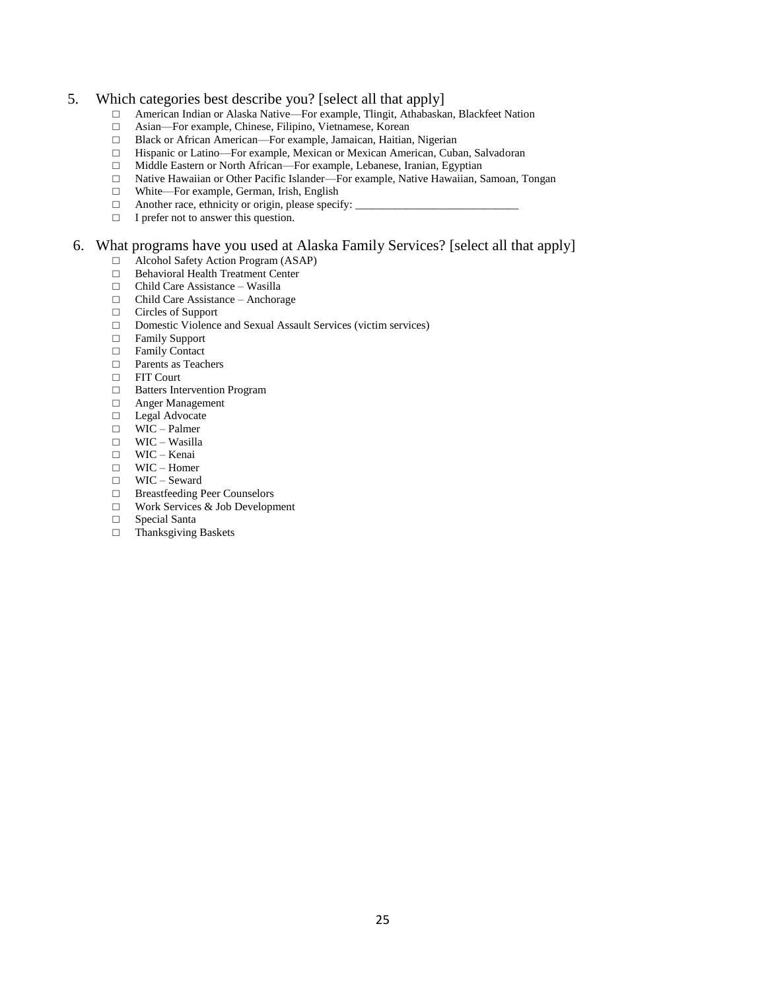#### 5. Which categories best describe you? [select all that apply]

- □ American Indian or Alaska Native—For example, Tlingit, Athabaskan, Blackfeet Nation
- □ Asian—For example, Chinese, Filipino, Vietnamese, Korean
- □ Black or African American—For example, Jamaican, Haitian, Nigerian
- □ Hispanic or Latino—For example, Mexican or Mexican American, Cuban, Salvadoran
- □ Middle Eastern or North African—For example, Lebanese, Iranian, Egyptian
- □ Native Hawaiian or Other Pacific Islander—For example, Native Hawaiian, Samoan, Tongan
- □ White—For example, German, Irish, English
- $\Box$  Another race, ethnicity or origin, please specify:
- □ I prefer not to answer this question.

#### 6. What programs have you used at Alaska Family Services? [select all that apply]

- □ Alcohol Safety Action Program (ASAP)
- □ Behavioral Health Treatment Center
- □ Child Care Assistance Wasilla
- □ Child Care Assistance Anchorage
- □ Circles of Support
- □ Domestic Violence and Sexual Assault Services (victim services)
- □ Family Support
- □ Family Contact
- □ Parents as Teachers
- □ FIT Court
- □ Batters Intervention Program
- □ Anger Management
- □ Legal Advocate
- □ WIC Palmer
- $\Box$  WIC Wasilla
- □ WIC Kenai □ WIC – Homer
- 
- $\Box$  WIC Seward<br>  $\Box$  Breastfeeding I
- Breastfeeding Peer Counselors □ Work Services & Job Development
- □ Special Santa
- □ Thanksgiving Baskets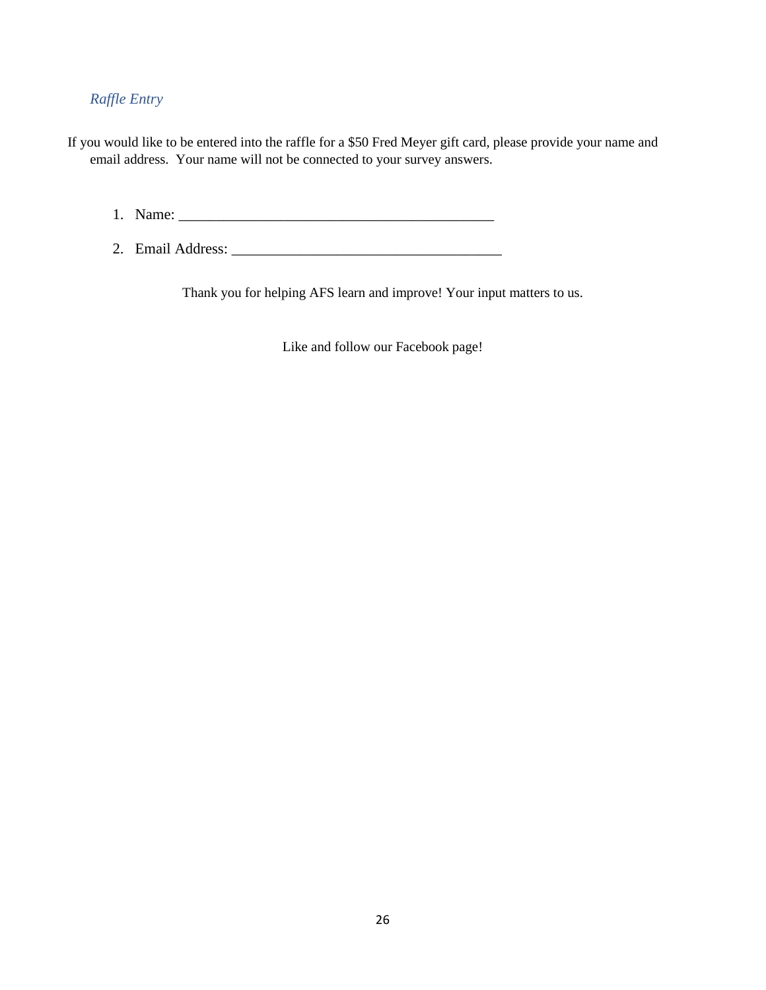#### *Raffle Entry*

If you would like to be entered into the raffle for a \$50 Fred Meyer gift card, please provide your name and email address. Your name will not be connected to your survey answers.

1. Name: \_\_\_\_\_\_\_\_\_\_\_\_\_\_\_\_\_\_\_\_\_\_\_\_\_\_\_\_\_\_\_\_\_\_\_\_\_\_\_\_\_\_

2. Email Address: \_\_\_\_\_\_\_\_\_\_\_\_\_\_\_\_\_\_\_\_\_\_\_\_\_\_\_\_\_\_\_\_\_\_\_\_

Thank you for helping AFS learn and improve! Your input matters to us.

Like and follow our Facebook page!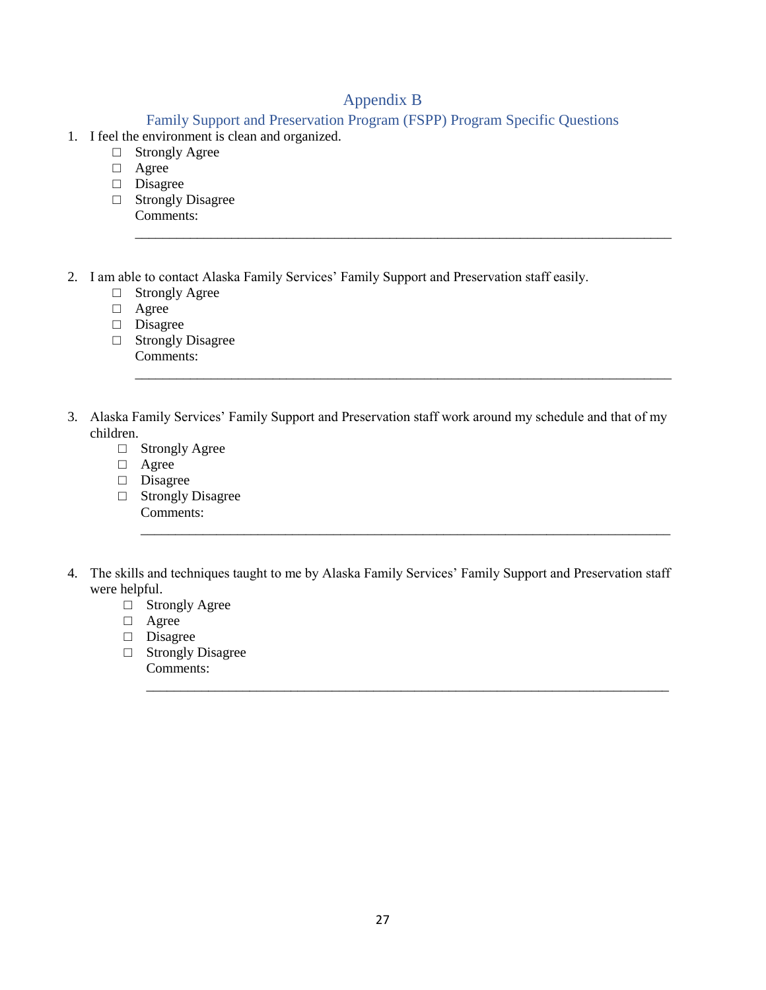## Appendix B

\_\_\_\_\_\_\_\_\_\_\_\_\_\_\_\_\_\_\_\_\_\_\_\_\_\_\_\_\_\_\_\_\_\_\_\_\_\_\_\_\_\_\_\_\_\_\_\_\_\_\_\_\_\_\_\_\_\_\_\_\_\_\_\_\_\_\_\_\_\_\_\_\_\_\_\_\_\_

\_\_\_\_\_\_\_\_\_\_\_\_\_\_\_\_\_\_\_\_\_\_\_\_\_\_\_\_\_\_\_\_\_\_\_\_\_\_\_\_\_\_\_\_\_\_\_\_\_\_\_\_\_\_\_\_\_\_\_\_\_\_\_\_\_\_\_\_\_\_\_\_\_\_\_\_\_\_

\_\_\_\_\_\_\_\_\_\_\_\_\_\_\_\_\_\_\_\_\_\_\_\_\_\_\_\_\_\_\_\_\_\_\_\_\_\_\_\_\_\_\_\_\_\_\_\_\_\_\_\_\_\_\_\_\_\_\_\_\_\_\_\_\_\_\_\_\_\_\_\_\_\_\_\_\_

\_\_\_\_\_\_\_\_\_\_\_\_\_\_\_\_\_\_\_\_\_\_\_\_\_\_\_\_\_\_\_\_\_\_\_\_\_\_\_\_\_\_\_\_\_\_\_\_\_\_\_\_\_\_\_\_\_\_\_\_\_\_\_\_\_\_\_\_\_\_\_\_\_\_\_\_

#### Family Support and Preservation Program (FSPP) Program Specific Questions

- <span id="page-26-0"></span>1. I feel the environment is clean and organized.
	- □ Strongly Agree
	- □ Agree
	- □ Disagree
	- □ Strongly Disagree
	- Comments:
- 2. I am able to contact Alaska Family Services' Family Support and Preservation staff easily.
	- □ Strongly Agree
	- □ Agree
	- □ Disagree
	- □ Strongly Disagree Comments:
- 3. Alaska Family Services' Family Support and Preservation staff work around my schedule and that of my children.
	- □ Strongly Agree
	- □ Agree
	- □ Disagree
	- □ Strongly Disagree Comments:
- 4. The skills and techniques taught to me by Alaska Family Services' Family Support and Preservation staff were helpful.
	- □ Strongly Agree
	- □ Agree
	- □ Disagree
	- □ Strongly Disagree
		- Comments: